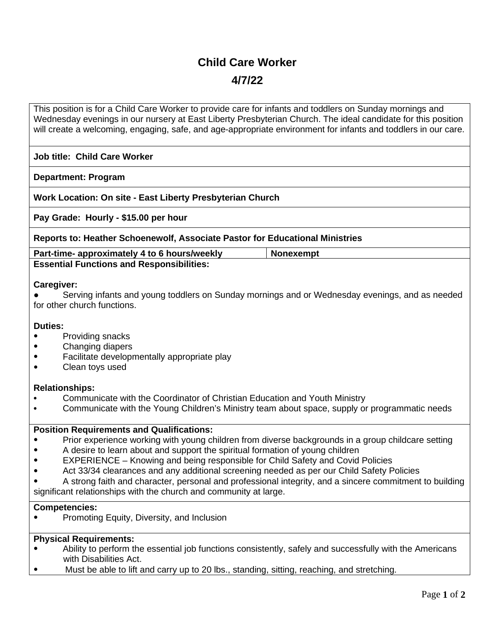# **Child Care Worker**

## **4/7/22**

This position is for a Child Care Worker to provide care for infants and toddlers on Sunday mornings and Wednesday evenings in our nursery at East Liberty Presbyterian Church. The ideal candidate for this position will create a welcoming, engaging, safe, and age-appropriate environment for infants and toddlers in our care.

### **Job title: Child Care Worker**

#### **Department: Program**

**Work Location: On site - East Liberty Presbyterian Church** 

**Pay Grade: Hourly - \$15.00 per hour**

**Reports to: Heather Schoenewolf, Associate Pastor for Educational Ministries**

**Part-time- approximately 4 to 6 hours/weekly Nonexempt Essential Functions and Responsibilities:** 

#### **Caregiver:**

● Serving infants and young toddlers on Sunday mornings and or Wednesday evenings, and as needed for other church functions.

#### **Duties:**

- Providing snacks
- Changing diapers
- Facilitate developmentally appropriate play
- Clean toys used

#### **Relationships:**

- Communicate with the Coordinator of Christian Education and Youth Ministry
- Communicate with the Young Children's Ministry team about space, supply or programmatic needs

#### **Position Requirements and Qualifications:**

- Prior experience working with young children from diverse backgrounds in a group childcare setting
- A desire to learn about and support the spiritual formation of young children
- EXPERIENCE Knowing and being responsible for Child Safety and Covid Policies
- Act 33/34 clearances and any additional screening needed as per our Child Safety Policies

A strong faith and character, personal and professional integrity, and a sincere commitment to building significant relationships with the church and community at large.

#### **Competencies:**

• Promoting Equity, Diversity, and Inclusion

#### **Physical Requirements:**

- Ability to perform the essential job functions consistently, safely and successfully with the Americans with Disabilities Act.
- Must be able to lift and carry up to 20 lbs., standing, sitting, reaching, and stretching.